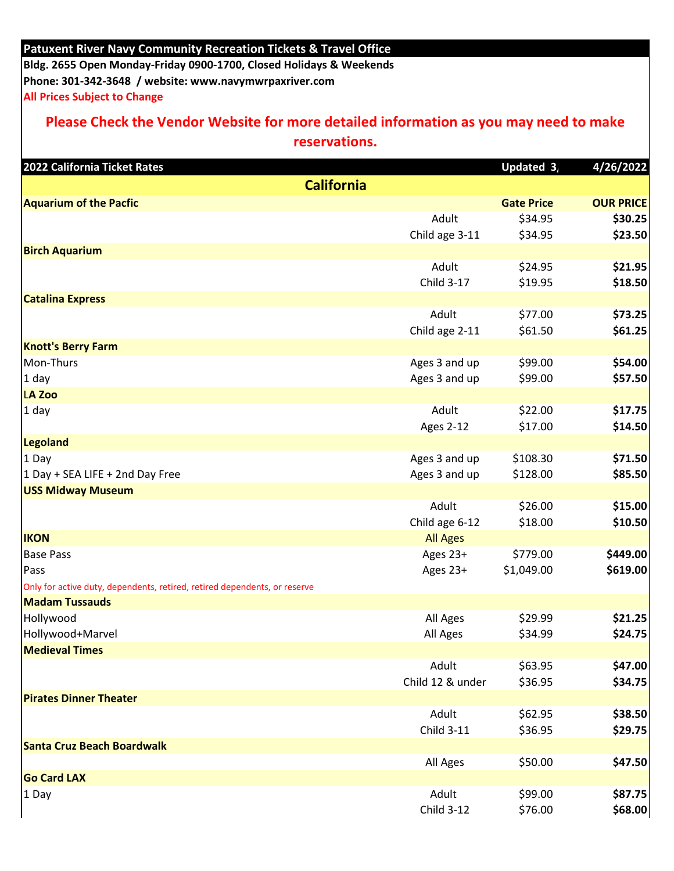## **Patuxent River Navy Community Recreation Tickets & Travel Office**

**Bldg. 2655 Open Monday-Friday 0900-1700, Closed Holidays & Weekends Phone: 301-342-3648 / website: www.navymwrpaxriver.com All Prices Subject to Change** 

## **Please Check the Vendor Website for more detailed information as you may need to make**

**reservations.** 

| 2022 California Ticket Rates                                              |                   | Updated 3,        | 4/26/2022        |
|---------------------------------------------------------------------------|-------------------|-------------------|------------------|
| <b>California</b>                                                         |                   |                   |                  |
| <b>Aquarium of the Pacfic</b>                                             |                   | <b>Gate Price</b> | <b>OUR PRICE</b> |
|                                                                           | Adult             | \$34.95           | \$30.25          |
|                                                                           | Child age 3-11    | \$34.95           | \$23.50          |
| <b>Birch Aquarium</b>                                                     |                   |                   |                  |
|                                                                           | Adult             | \$24.95           | \$21.95          |
|                                                                           | Child 3-17        | \$19.95           | \$18.50          |
| <b>Catalina Express</b>                                                   |                   |                   |                  |
|                                                                           | Adult             | \$77.00           | \$73.25          |
|                                                                           | Child age 2-11    | \$61.50           | \$61.25          |
| <b>Knott's Berry Farm</b>                                                 |                   |                   |                  |
| Mon-Thurs                                                                 | Ages 3 and up     | \$99.00           | \$54.00          |
| 1 day                                                                     | Ages 3 and up     | \$99.00           | \$57.50          |
| LA Zoo                                                                    |                   |                   |                  |
| $1$ day                                                                   | Adult             | \$22.00           | \$17.75          |
|                                                                           | <b>Ages 2-12</b>  | \$17.00           | \$14.50          |
| <b>Legoland</b>                                                           |                   |                   |                  |
| 1 Day                                                                     | Ages 3 and up     | \$108.30          | \$71.50          |
| 1 Day + SEA LIFE + 2nd Day Free                                           | Ages 3 and up     | \$128.00          | \$85.50          |
| <b>USS Midway Museum</b>                                                  |                   |                   |                  |
|                                                                           | Adult             | \$26.00           | \$15.00          |
|                                                                           | Child age 6-12    | \$18.00           | \$10.50          |
| <b>IKON</b>                                                               | <b>All Ages</b>   |                   |                  |
| <b>Base Pass</b>                                                          | Ages 23+          | \$779.00          | \$449.00         |
| Pass                                                                      | Ages 23+          | \$1,049.00        | \$619.00         |
| Only for active duty, dependents, retired, retired dependents, or reserve |                   |                   |                  |
| <b>Madam Tussauds</b>                                                     |                   |                   |                  |
| Hollywood                                                                 | All Ages          | \$29.99           | \$21.25          |
| Hollywood+Marvel                                                          | All Ages          | \$34.99           | \$24.75          |
| <b>Medieval Times</b>                                                     |                   |                   |                  |
|                                                                           | Adult             | \$63.95           | \$47.00          |
|                                                                           | Child 12 & under  | \$36.95           | \$34.75          |
| <b>Pirates Dinner Theater</b>                                             |                   |                   |                  |
|                                                                           | Adult             | \$62.95           | \$38.50          |
|                                                                           | Child 3-11        | \$36.95           | \$29.75          |
| <b>Santa Cruz Beach Boardwalk</b>                                         |                   |                   |                  |
|                                                                           | All Ages          | \$50.00           | \$47.50          |
| <b>Go Card LAX</b>                                                        |                   |                   |                  |
| 1 Day                                                                     | Adult             | \$99.00           | \$87.75          |
|                                                                           | <b>Child 3-12</b> | \$76.00           | \$68.00          |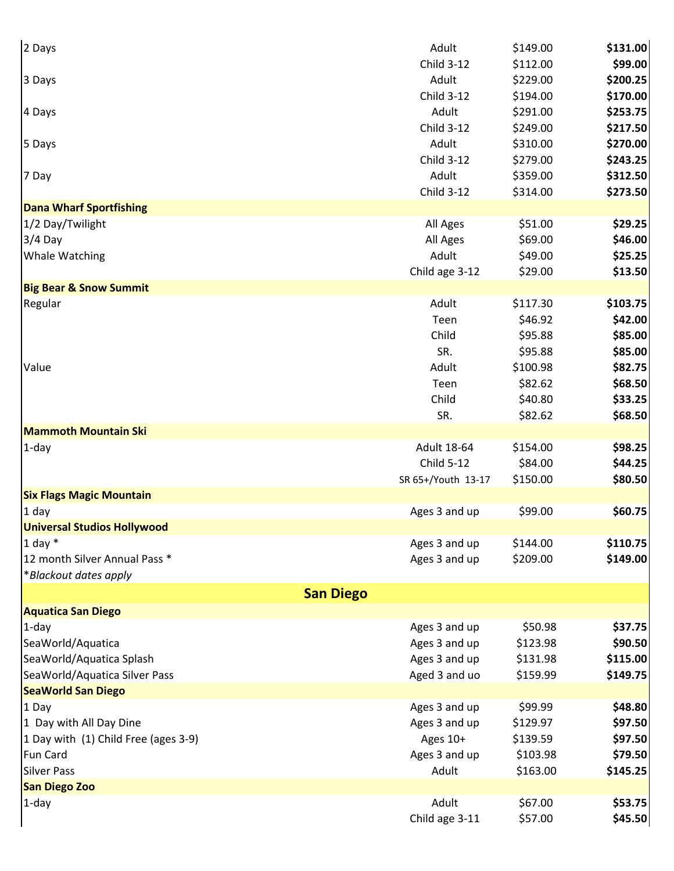| 2 Days                               | Adult              | \$149.00 | \$131.00 |
|--------------------------------------|--------------------|----------|----------|
|                                      | <b>Child 3-12</b>  | \$112.00 | \$99.00  |
| 3 Days                               | Adult              | \$229.00 | \$200.25 |
|                                      | <b>Child 3-12</b>  | \$194.00 | \$170.00 |
| 4 Days                               | Adult              | \$291.00 | \$253.75 |
|                                      | <b>Child 3-12</b>  | \$249.00 | \$217.50 |
| 5 Days                               | Adult              | \$310.00 | \$270.00 |
|                                      | <b>Child 3-12</b>  | \$279.00 | \$243.25 |
| 7 Day                                | Adult              | \$359.00 | \$312.50 |
|                                      | <b>Child 3-12</b>  | \$314.00 | \$273.50 |
| <b>Dana Wharf Sportfishing</b>       |                    |          |          |
| 1/2 Day/Twilight                     | All Ages           | \$51.00  | \$29.25  |
| $3/4$ Day                            | All Ages           | \$69.00  | \$46.00  |
| <b>Whale Watching</b>                | Adult              | \$49.00  | \$25.25  |
|                                      | Child age 3-12     | \$29.00  | \$13.50  |
| <b>Big Bear &amp; Snow Summit</b>    |                    |          |          |
| Regular                              | Adult              | \$117.30 | \$103.75 |
|                                      | Teen               | \$46.92  | \$42.00  |
|                                      | Child              | \$95.88  | \$85.00  |
|                                      | SR.                | \$95.88  | \$85.00  |
| Value                                | Adult              | \$100.98 | \$82.75  |
|                                      | Teen               | \$82.62  | \$68.50  |
|                                      | Child              | \$40.80  | \$33.25  |
|                                      | SR.                | \$82.62  | \$68.50  |
| <b>Mammoth Mountain Ski</b>          |                    |          |          |
| $1$ -day                             | <b>Adult 18-64</b> | \$154.00 | \$98.25  |
|                                      | <b>Child 5-12</b>  | \$84.00  | \$44.25  |
|                                      | SR 65+/Youth 13-17 | \$150.00 | \$80.50  |
| <b>Six Flags Magic Mountain</b>      |                    |          |          |
| $1$ day                              | Ages 3 and up      | \$99.00  | \$60.75  |
| <b>Universal Studios Hollywood</b>   |                    |          |          |
| 1 day $*$                            | Ages 3 and up      | \$144.00 | \$110.75 |
| 12 month Silver Annual Pass *        | Ages 3 and up      | \$209.00 | \$149.00 |
| *Blackout dates apply                |                    |          |          |
| <b>San Diego</b>                     |                    |          |          |
| <b>Aquatica San Diego</b>            |                    |          |          |
| $1$ -day                             | Ages 3 and up      | \$50.98  | \$37.75  |
| SeaWorld/Aquatica                    | Ages 3 and up      | \$123.98 | \$90.50  |
| SeaWorld/Aquatica Splash             | Ages 3 and up      | \$131.98 | \$115.00 |
| SeaWorld/Aquatica Silver Pass        | Aged 3 and uo      | \$159.99 | \$149.75 |
| <b>SeaWorld San Diego</b>            |                    |          |          |
| 1 Day                                | Ages 3 and up      | \$99.99  | \$48.80  |
| 1 Day with All Day Dine              | Ages 3 and up      | \$129.97 | \$97.50  |
| 1 Day with (1) Child Free (ages 3-9) | Ages 10+           | \$139.59 | \$97.50  |
| <b>Fun Card</b>                      | Ages 3 and up      | \$103.98 | \$79.50  |
| <b>Silver Pass</b>                   | Adult              | \$163.00 | \$145.25 |
| <b>San Diego Zoo</b>                 |                    |          |          |
| $1$ -day                             | Adult              | \$67.00  | \$53.75  |
|                                      | Child age 3-11     | \$57.00  | \$45.50  |
|                                      |                    |          |          |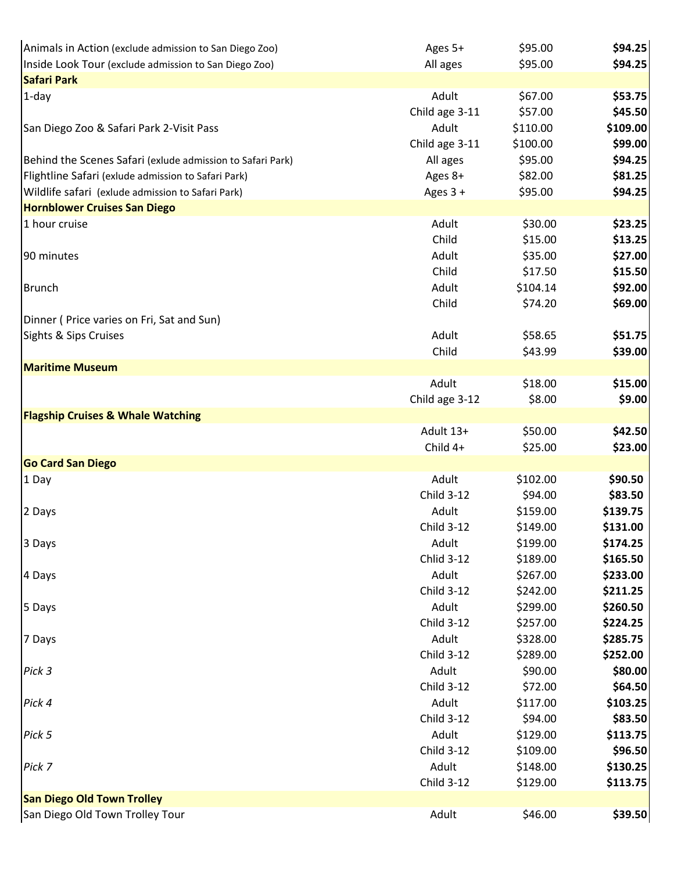| Animals in Action (exclude admission to San Diego Zoo)     | Ages 5+             | \$95.00  | \$94.25  |
|------------------------------------------------------------|---------------------|----------|----------|
| Inside Look Tour (exclude admission to San Diego Zoo)      | All ages            | \$95.00  | \$94.25  |
| <b>Safari Park</b>                                         |                     |          |          |
| $1$ -day                                                   | Adult               | \$67.00  | \$53.75  |
|                                                            | Child age 3-11      | \$57.00  | \$45.50  |
| San Diego Zoo & Safari Park 2-Visit Pass                   | Adult               | \$110.00 | \$109.00 |
|                                                            | Child age 3-11      | \$100.00 | \$99.00  |
| Behind the Scenes Safari (exlude admission to Safari Park) | All ages            | \$95.00  | \$94.25  |
| Flightline Safari (exlude admission to Safari Park)        | Ages 8+             | \$82.00  | \$81.25  |
| Wildlife safari (exlude admission to Safari Park)          | Ages 3 +            | \$95.00  | \$94.25  |
| <b>Hornblower Cruises San Diego</b>                        |                     |          |          |
| 1 hour cruise                                              | Adult               | \$30.00  | \$23.25  |
|                                                            | Child               | \$15.00  | \$13.25  |
| 90 minutes                                                 | Adult               | \$35.00  | \$27.00  |
|                                                            | Child               | \$17.50  | \$15.50  |
| <b>Brunch</b>                                              | Adult               | \$104.14 | \$92.00  |
|                                                            | Child               | \$74.20  | \$69.00  |
| Dinner (Price varies on Fri, Sat and Sun)                  |                     |          |          |
| Sights & Sips Cruises                                      | Adult               | \$58.65  | \$51.75  |
|                                                            | Child               | \$43.99  | \$39.00  |
| <b>Maritime Museum</b>                                     |                     |          |          |
|                                                            | Adult               | \$18.00  | \$15.00  |
|                                                            | Child age 3-12      | \$8.00   | \$9.00   |
| <b>Flagship Cruises &amp; Whale Watching</b>               |                     |          |          |
|                                                            | Adult 13+           | \$50.00  | \$42.50  |
|                                                            | Child 4+            | \$25.00  | \$23.00  |
| <b>Go Card San Diego</b>                                   |                     |          |          |
| 1 Day                                                      | Adult               | \$102.00 | \$90.50  |
|                                                            | <b>Child 3-12</b>   | \$94.00  | \$83.50  |
| 2 Days                                                     | Adult               | \$159.00 | \$139.75 |
|                                                            | <b>Child 3-12</b>   | \$149.00 | \$131.00 |
| 3 Days                                                     | Adult               | \$199.00 | \$174.25 |
|                                                            | <b>Chlid 3-12</b>   | \$189.00 | \$165.50 |
| 4 Days                                                     | Adult               | \$267.00 | \$233.00 |
|                                                            | <b>Child 3-12</b>   | \$242.00 | \$211.25 |
| 5 Days                                                     | Adult               | \$299.00 | \$260.50 |
|                                                            | <b>Child 3-12</b>   | \$257.00 | \$224.25 |
| 7 Days                                                     | Adult               | \$328.00 | \$285.75 |
|                                                            | Child 3-12          | \$289.00 | \$252.00 |
| Pick 3                                                     | Adult               | \$90.00  | \$80.00  |
|                                                            | <b>Child 3-12</b>   | \$72.00  | \$64.50  |
| Pick 4                                                     | Adult               | \$117.00 | \$103.25 |
|                                                            | <b>Child 3-12</b>   | \$94.00  | \$83.50  |
| Pick 5                                                     | Adult               | \$129.00 | \$113.75 |
|                                                            | <b>Child 3-12</b>   | \$109.00 | \$96.50  |
| Pick 7                                                     | Adult<br>Child 3-12 | \$148.00 | \$130.25 |
| <b>San Diego Old Town Trolley</b>                          |                     | \$129.00 | \$113.75 |
| San Diego Old Town Trolley Tour                            | Adult               | \$46.00  | \$39.50  |
|                                                            |                     |          |          |